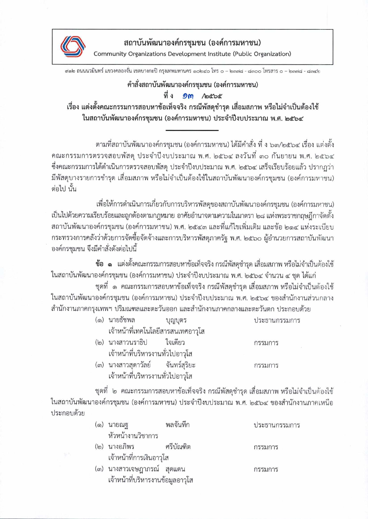

สถาบันพัฒนาองค์กรชุมชน (องค์การมหาชน)

Community Organizations Development Institute (Public Organization)

สด๒ ถนนนวมินทร์ แขวงคลองจั่น เขตบางกะปิ กรุงเทพมหานคร ด๐๒๔๐ โทร ๐ – ๒๓๗๘ - ๘๓๐๐ โทรสาร ๐ – ๒๓๗๘ - ๘๓๔๒

## คำสั่งสถาบันพัฒนาองค์กรชุมชน (องค์การมหาชน)

## ที่ ง Om /octoc

เรื่อง แต่งตั้งคณะกรรมการสอบหาข้อเท็จจริง กรณีพัสดุชำรุด เสื่อมสภาพ หรือไม่จำเป็นต้องใช้ ในสถาบันพัฒนาองค์กรชุมชน (องค์การมหาชน) ประจำปีงบประมาณ พ.ศ. ๒๕๖๔

้ตามที่สถาบันพัฒนาองค์กรชุมชน (องค์การมหาชน) ได้มีคำสั่ง ที่ ง ๖๓/๒๕๖๔ เรื่อง แต่งตั้ง คณะกรรมการตรวจสอบพัสดุ ประจำปีงบประมาณ พ.ศ. ๒๕๖๔ ลงวันที่ ๓๐ กันยายน พ.ศ. ๒๕๖๔ ซึ่งคณะกรรมการได้ดำเนินการตรวจสอบพัสดุ ประจำปีงบประมาณ พ.ศ. ๒๕๖๔ เสร็จเรียบร้อยแล้ว ปรากฏว่า มีพัสดุบางรายการชำรุด เสื่อมสภาพ หรือไม่จำเป็นต้องใช้ในสถาบันพัฒนาองค์กรชุมชน (องค์การมหาชน) ต่อไป นั้น

เพื่อให้การดำเนินการเกี่ยวกับการบริหารพัสดุของสถาบันพัฒนาองค์กรชุมชน (องค์การมหาชน) เป็นไปด้วยความเรียบร้อยและถูกต้องตามกฎหมาย อาศัยอำนาจตามความในมาตรา ๒๘ แห่งพระราชกฤษฎีกาจัดตั้ง สถาบันพัฒนาองค์กรชุมชน (องค์การมหาชน) พ.ศ. ๒๕๔๓ และที่แก้ไขเพิ่มเติม และข้อ ๒๑๔ แห่งระเบียบ กระทรวงการคลังว่าด้วยการจัดซื้อจัดจ้างและการบริหารพัสดุภาครัฐ พ.ศ. ๒๕๖๐ ผู้อำนวยการสถาบันพัฒนา องค์กรชุมชน จึงมีคำสั่งดังต่อไปนี้

ข้อ ๑ แต่งตั้งคณะกรรมการสอบหาข้อเท็จจริง กรณีพัสดุชำรุด เสื่อมสภาพ หรือไม่จำเป็นต้องใช้ ในสถาบันพัฒนาองค์กรชุมชน (องค์การมหาชน) ประจำปีงบประมาณ พ.ศ. ๒๕๖๔ จำนวน ๔ ชุด ได้แก่

ชุดที่ ๑ คณะกรรมการสอบหาข้อเท็จจริง กรณีพัสดุชำรุด เสื่อมสภาพ หรือไม่จำเป็นต้องใช้ ในสถาบันพัฒนาองค์กรชุมชน (องค์การมหาชน) ประจำปีงบประมาณ พ.ศ. ๒๕๖๔ ของสำนักงานส่วนกลาง สำนักงานภาคกรุงเทพฯ ปริมณฑลและตะวันออก และสำนักงานภาคกลางและตะวันตก ประกอบด้วย

|  | (๑) นายธัชพล                       | บุญบุตร | ประธานกรรมการ |
|--|------------------------------------|---------|---------------|
|  | เจ้าหน้าที่เทคโนโลยีสารสนเทศอาวุโส |         |               |
|  | (๒) นางสาวนราธิป ใจเดียว           |         | กรรมการ       |
|  | เจ้าหน้าที่บริหารงานทั่วไปอาวุโส   |         |               |
|  | (๓) บางสาวสุดาวัลย์ อับเกร็สริยม   |         | 05591025      |

(๓) นางสาวสุดาวลย ขนพวสุวยะ กรรมการ เจ้าหน้าที่บริหารงานทั่วไปอาวุโส

ชุดที่ ๒ คณะกรรมการสอบหาข้อเท็จจริง กรณีพัสดุชำรุด เสื่อมสภาพ หรือไม่จำเป็นต้องใช้ ในสถาบันพัฒนาองค์กรชุมชน (องค์การมหาชน) ประจำปีงบประมาณ พ.ศ. ๒๕๖๔ ของสำนักงานภาคเหนือ ประกอบด้วย

| (๑) นายณฐ                | พลจันทึก  | ประธานกรรมการ |
|--------------------------|-----------|---------------|
| หัวหน้างานวิชาการ        |           |               |
| (๒) นางอภิพร             | ศรีบัณฑิต | กรรมการ       |
| เจ้าหน้าที่การเงินอาวุโส |           |               |

กรรมการ

(๓) นางสาวเจษฎาภรณ์ สุดแดน เจ้าหน้าที่บริหารงานข้อมูลอาวุโส